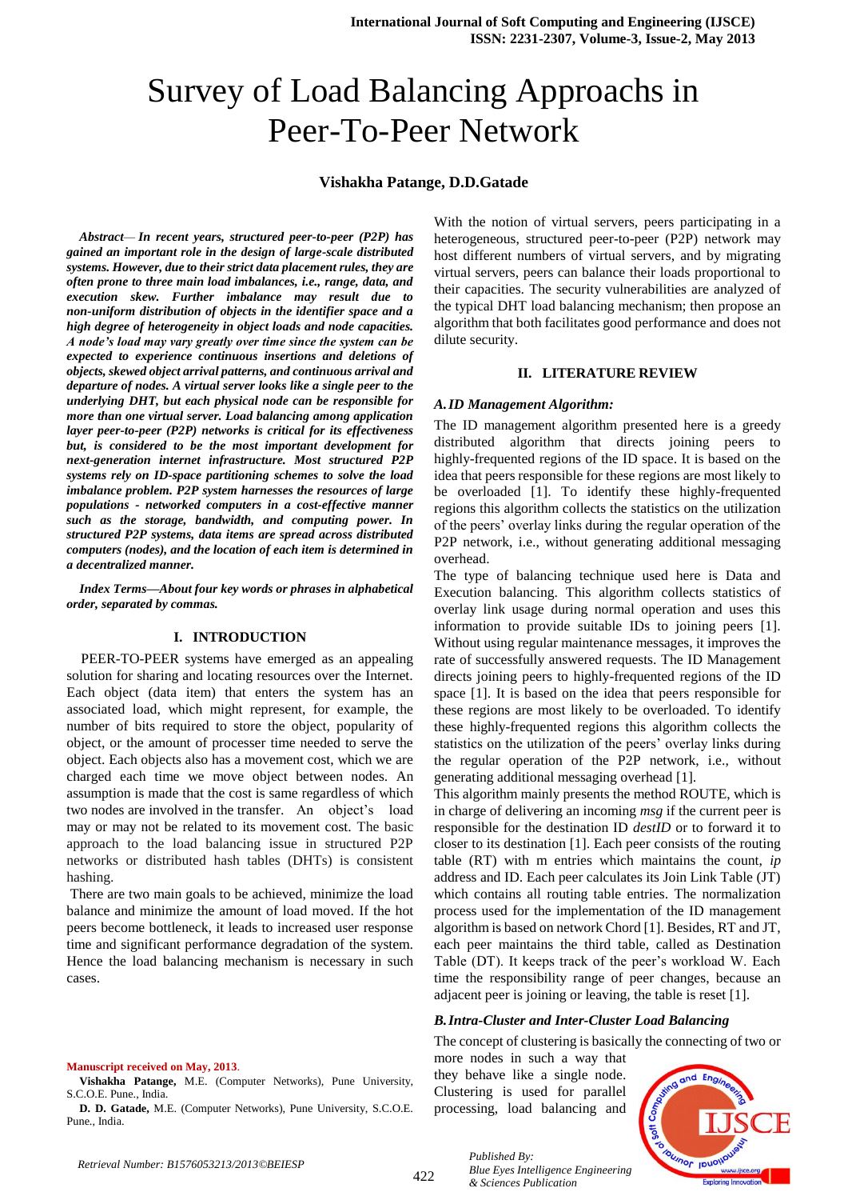# Survey of Load Balancing Approachs in Peer-To-Peer Network

### **Vishakha Patange, D.D.Gatade**

*Abstract— In recent years, structured peer-to-peer (P2P) has gained an important role in the design of large-scale distributed systems. However, due to their strict data placement rules, they are often prone to three main load imbalances, i.e., range, data, and execution skew. Further imbalance may result due to non-uniform distribution of objects in the identifier space and a high degree of heterogeneity in object loads and node capacities. A node's load may vary greatly over time since the system can be expected to experience continuous insertions and deletions of objects, skewed object arrival patterns, and continuous arrival and departure of nodes. A virtual server looks like a single peer to the underlying DHT, but each physical node can be responsible for more than one virtual server. Load balancing among application layer peer-to-peer (P2P) networks is critical for its effectiveness but, is considered to be the most important development for next-generation internet infrastructure. Most structured P2P systems rely on ID-space partitioning schemes to solve the load imbalance problem. P2P system harnesses the resources of large populations - networked computers in a cost-effective manner such as the storage, bandwidth, and computing power. In structured P2P systems, data items are spread across distributed computers (nodes), and the location of each item is determined in a decentralized manner.*

*Index Terms—About four key words or phrases in alphabetical order, separated by commas.* 

## **I. INTRODUCTION**

PEER-TO-PEER systems have emerged as an appealing solution for sharing and locating resources over the Internet. Each object (data item) that enters the system has an associated load, which might represent, for example, the number of bits required to store the object, popularity of object, or the amount of processer time needed to serve the object. Each objects also has a movement cost, which we are charged each time we move object between nodes. An assumption is made that the cost is same regardless of which two nodes are involved in the transfer. An object's load may or may not be related to its movement cost. The basic approach to the load balancing issue in structured P2P networks or distributed hash tables (DHTs) is consistent hashing.

There are two main goals to be achieved, minimize the load balance and minimize the amount of load moved. If the hot peers become bottleneck, it leads to increased user response time and significant performance degradation of the system. Hence the load balancing mechanism is necessary in such cases.

With the notion of virtual servers, peers participating in a heterogeneous, structured peer-to-peer (P2P) network may host different numbers of virtual servers, and by migrating virtual servers, peers can balance their loads proportional to their capacities. The security vulnerabilities are analyzed of the typical DHT load balancing mechanism; then propose an algorithm that both facilitates good performance and does not dilute security.

#### **II. LITERATURE REVIEW**

## *A.ID Management Algorithm:*

The ID management algorithm presented here is a greedy distributed algorithm that directs joining peers to highly-frequented regions of the ID space. It is based on the idea that peers responsible for these regions are most likely to be overloaded [1]. To identify these highly-frequented regions this algorithm collects the statistics on the utilization of the peers' overlay links during the regular operation of the P2P network, i.e., without generating additional messaging overhead.

The type of balancing technique used here is Data and Execution balancing. This algorithm collects statistics of overlay link usage during normal operation and uses this information to provide suitable IDs to joining peers [1]. Without using regular maintenance messages, it improves the rate of successfully answered requests. The ID Management directs joining peers to highly-frequented regions of the ID space [1]. It is based on the idea that peers responsible for these regions are most likely to be overloaded. To identify these highly-frequented regions this algorithm collects the statistics on the utilization of the peers' overlay links during the regular operation of the P2P network, i.e., without generating additional messaging overhead [1].

This algorithm mainly presents the method ROUTE, which is in charge of delivering an incoming *msg* if the current peer is responsible for the destination ID *destID* or to forward it to closer to its destination [1]. Each peer consists of the routing table (RT) with m entries which maintains the count, *ip* address and ID. Each peer calculates its Join Link Table (JT) which contains all routing table entries. The normalization process used for the implementation of the ID management algorithm is based on network Chord [1]. Besides, RT and JT, each peer maintains the third table, called as Destination Table (DT). It keeps track of the peer's workload W. Each time the responsibility range of peer changes, because an adjacent peer is joining or leaving, the table is reset [1].

#### *B.Intra-Cluster and Inter-Cluster Load Balancing*

The concept of clustering is basically the connecting of two or

more nodes in such a way that they behave like a single node. Clustering is used for parallel processing, load balancing and

*Blue Eyes Intelligence Engineering* 

*Published By:*

*& Sciences Publication* 



#### **Manuscript received on May, 2013**.

**Vishakha Patange,** M.E. (Computer Networks), Pune University, S.C.O.E. Pune., India.

**D. D. Gatade,** M.E. (Computer Networks), Pune University, S.C.O.E. Pune., India.

*Retrieval Number: B1576053213/2013©BEIESP*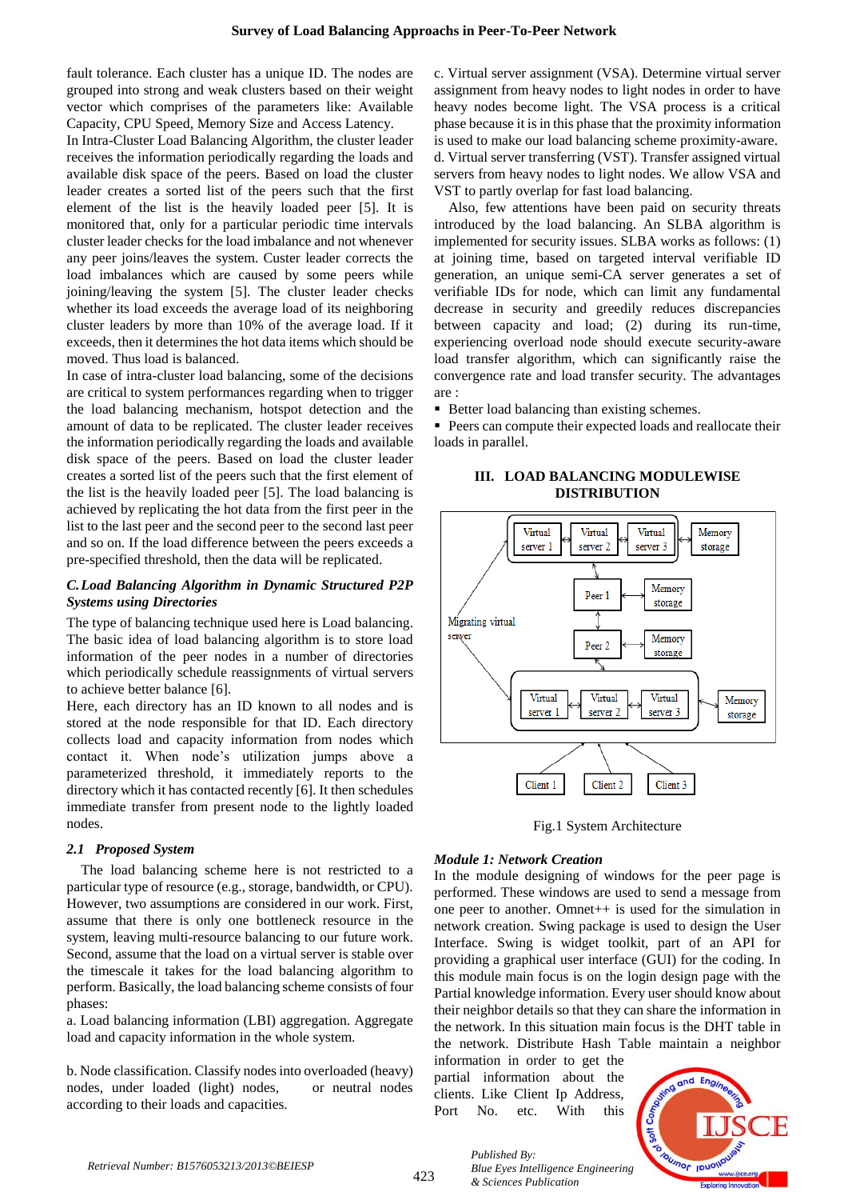fault tolerance. Each cluster has a unique ID. The nodes are grouped into strong and weak clusters based on their weight vector which comprises of the parameters like: Available Capacity, CPU Speed, Memory Size and Access Latency.

In Intra-Cluster Load Balancing Algorithm, the cluster leader receives the information periodically regarding the loads and available disk space of the peers. Based on load the cluster leader creates a sorted list of the peers such that the first element of the list is the heavily loaded peer [5]. It is monitored that, only for a particular periodic time intervals cluster leader checks for the load imbalance and not whenever any peer joins/leaves the system. Custer leader corrects the load imbalances which are caused by some peers while joining/leaving the system [5]. The cluster leader checks whether its load exceeds the average load of its neighboring cluster leaders by more than 10% of the average load. If it exceeds, then it determines the hot data items which should be moved. Thus load is balanced.

In case of intra-cluster load balancing, some of the decisions are critical to system performances regarding when to trigger the load balancing mechanism, hotspot detection and the amount of data to be replicated. The cluster leader receives the information periodically regarding the loads and available disk space of the peers. Based on load the cluster leader creates a sorted list of the peers such that the first element of the list is the heavily loaded peer [5]. The load balancing is achieved by replicating the hot data from the first peer in the list to the last peer and the second peer to the second last peer and so on. If the load difference between the peers exceeds a pre-specified threshold, then the data will be replicated.

## *C.Load Balancing Algorithm in Dynamic Structured P2P Systems using Directories*

The type of balancing technique used here is Load balancing. The basic idea of load balancing algorithm is to store load information of the peer nodes in a number of directories which periodically schedule reassignments of virtual servers to achieve better balance [6].

Here, each directory has an ID known to all nodes and is stored at the node responsible for that ID. Each directory collects load and capacity information from nodes which contact it. When node's utilization jumps above a parameterized threshold, it immediately reports to the directory which it has contacted recently [6]. It then schedules immediate transfer from present node to the lightly loaded nodes.

## *2.1 Proposed System*

The load balancing scheme here is not restricted to a particular type of resource (e.g., storage, bandwidth, or CPU). However, two assumptions are considered in our work. First, assume that there is only one bottleneck resource in the system, leaving multi-resource balancing to our future work. Second, assume that the load on a virtual server is stable over the timescale it takes for the load balancing algorithm to perform. Basically, the load balancing scheme consists of four phases:

a. Load balancing information (LBI) aggregation. Aggregate load and capacity information in the whole system.

b. Node classification. Classify nodes into overloaded (heavy) nodes, under loaded (light) nodes, or neutral nodes according to their loads and capacities.

c. Virtual server assignment (VSA). Determine virtual server assignment from heavy nodes to light nodes in order to have heavy nodes become light. The VSA process is a critical phase because it is in this phase that the proximity information is used to make our load balancing scheme proximity-aware. d. Virtual server transferring (VST). Transfer assigned virtual servers from heavy nodes to light nodes. We allow VSA and VST to partly overlap for fast load balancing.

Also, few attentions have been paid on security threats introduced by the load balancing. An SLBA algorithm is implemented for security issues. SLBA works as follows: (1) at joining time, based on targeted interval verifiable ID generation, an unique semi-CA server generates a set of verifiable IDs for node, which can limit any fundamental decrease in security and greedily reduces discrepancies between capacity and load; (2) during its run-time, experiencing overload node should execute security-aware load transfer algorithm, which can significantly raise the convergence rate and load transfer security. The advantages are :

■ Better load balancing than existing schemes.

**Peers can compute their expected loads and reallocate their** loads in parallel.

## **III. LOAD BALANCING MODULEWISE DISTRIBUTION**



Fig.1 System Architecture

## *Module 1: Network Creation*

In the module designing of windows for the peer page is performed. These windows are used to send a message from one peer to another. Omnet++ is used for the simulation in network creation. Swing package is used to design the User Interface. Swing is widget toolkit, part of an API for providing a graphical user interface (GUI) for the coding. In this module main focus is on the login design page with the Partial knowledge information. Every user should know about their neighbor details so that they can share the information in the network. In this situation main focus is the DHT table in the network. Distribute Hash Table maintain a neighbor

information in order to get the partial information about the clients. Like Client Ip Address, Port No. etc. With this

*& Sciences Publication* 

*Published By:*